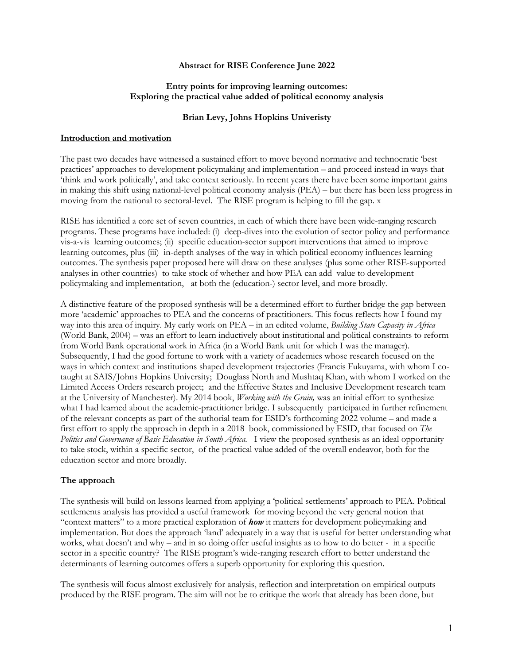## **Abstract for RISE Conference June 2022**

## **Entry points for improving learning outcomes: Exploring the practical value added of political economy analysis**

## **Brian Levy, Johns Hopkins Univeristy**

#### **Introduction and motivation**

The past two decades have witnessed a sustained effort to move beyond normative and technocratic 'best practices' approaches to development policymaking and implementation – and proceed instead in ways that 'think and work politically', and take context seriously. In recent years there have been some important gains in making this shift using national-level political economy analysis (PEA) – but there has been less progress in moving from the national to sectoral-level. The RISE program is helping to fill the gap. x

RISE has identified a core set of seven countries, in each of which there have been wide-ranging research programs. These programs have included: (i) deep-dives into the evolution of sector policy and performance vis-a-vis learning outcomes; (ii) specific education-sector support interventions that aimed to improve learning outcomes, plus (iii) in-depth analyses of the way in which political economy influences learning outcomes. The synthesis paper proposed here will draw on these analyses (plus some other RISE-supported analyses in other countries) to take stock of whether and how PEA can add value to development policymaking and implementation, at both the (education-) sector level, and more broadly.

A distinctive feature of the proposed synthesis will be a determined effort to further bridge the gap between more 'academic' approaches to PEA and the concerns of practitioners. This focus reflects how I found my way into this area of inquiry. My early work on PEA – in an edited volume, *Building State Capacity in Africa*  (World Bank, 2004) – was an effort to learn inductively about institutional and political constraints to reform from World Bank operational work in Africa (in a World Bank unit for which I was the manager). Subsequently, I had the good fortune to work with a variety of academics whose research focused on the ways in which context and institutions shaped development trajectories (Francis Fukuyama, with whom I cotaught at SAIS/Johns Hopkins University; Douglass North and Mushtaq Khan, with whom I worked on the Limited Access Orders research project; and the Effective States and Inclusive Development research team at the University of Manchester). My 2014 book, *Working with the Grain,* was an initial effort to synthesize what I had learned about the academic-practitioner bridge. I subsequently participated in further refinement of the relevant concepts as part of the authorial team for ESID's forthcoming 2022 volume – and made a first effort to apply the approach in depth in a 2018 book, commissioned by ESID, that focused on *The Politics and Governance of Basic Education in South Africa.* I view the proposed synthesis as an ideal opportunity to take stock, within a specific sector, of the practical value added of the overall endeavor, both for the education sector and more broadly.

#### **The approach**

The synthesis will build on lessons learned from applying a 'political settlements' approach to PEA. Political settlements analysis has provided a useful framework for moving beyond the very general notion that "context matters" to a more practical exploration of *how* it matters for development policymaking and implementation. But does the approach 'land' adequately in a way that is useful for better understanding what works, what doesn't and why – and in so doing offer useful insights as to how to do better - in a specific sector in a specific country? The RISE program's wide-ranging research effort to better understand the determinants of learning outcomes offers a superb opportunity for exploring this question.

The synthesis will focus almost exclusively for analysis, reflection and interpretation on empirical outputs produced by the RISE program. The aim will not be to critique the work that already has been done, but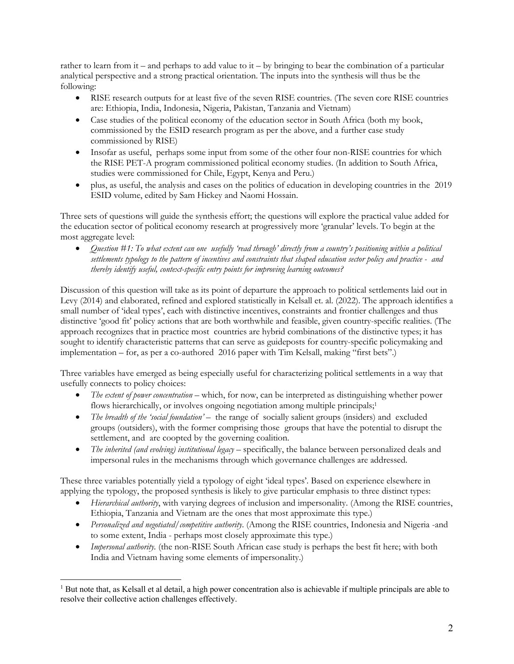rather to learn from it – and perhaps to add value to it – by bringing to bear the combination of a particular analytical perspective and a strong practical orientation. The inputs into the synthesis will thus be the following:

- RISE research outputs for at least five of the seven RISE countries. (The seven core RISE countries are: Ethiopia, India, Indonesia, Nigeria, Pakistan, Tanzania and Vietnam)
- Case studies of the political economy of the education sector in South Africa (both my book, commissioned by the ESID research program as per the above, and a further case study commissioned by RISE)
- Insofar as useful, perhaps some input from some of the other four non-RISE countries for which the RISE PET-A program commissioned political economy studies. (In addition to South Africa, studies were commissioned for Chile, Egypt, Kenya and Peru.)
- plus, as useful, the analysis and cases on the politics of education in developing countries in the 2019 ESID volume, edited by Sam Hickey and Naomi Hossain.

Three sets of questions will guide the synthesis effort; the questions will explore the practical value added for the education sector of political economy research at progressively more 'granular' levels. To begin at the most aggregate level:

• *Question #1: To what extent can one usefully 'read through' directly from a country's positioning within a political settlements typology to the pattern of incentives and constraints that shaped education sector policy and practice - and thereby identify useful, context-specific entry points for improving learning outcomes?*

Discussion of this question will take as its point of departure the approach to political settlements laid out in Levy (2014) and elaborated, refined and explored statistically in Kelsall et. al. (2022). The approach identifies a small number of 'ideal types', each with distinctive incentives, constraints and frontier challenges and thus distinctive 'good fit' policy actions that are both worthwhile and feasible, given country-specific realities. (The approach recognizes that in practice most countries are hybrid combinations of the distinctive types; it has sought to identify characteristic patterns that can serve as guideposts for country-specific policymaking and implementation – for, as per a co-authored 2016 paper with Tim Kelsall, making "first bets".)

Three variables have emerged as being especially useful for characterizing political settlements in a way that usefully connects to policy choices:

- *The extent of power concentration* which, for now, can be interpreted as distinguishing whether power flows hierarchically, or involves ongoing negotiation among multiple principals;<sup>1</sup>
- *The breadth of the 'social foundation'* the range of socially salient groups (insiders) and excluded groups (outsiders), with the former comprising those groups that have the potential to disrupt the settlement, and are coopted by the governing coalition.
- *The inherited (and evolving) institutional legacy* specifically, the balance between personalized deals and impersonal rules in the mechanisms through which governance challenges are addressed.

These three variables potentially yield a typology of eight 'ideal types'. Based on experience elsewhere in applying the typology, the proposed synthesis is likely to give particular emphasis to three distinct types:

- *Hierarchical authority*, with varying degrees of inclusion and impersonality. (Among the RISE countries, Ethiopia, Tanzania and Vietnam are the ones that most approximate this type.)
- *Personalized and negotiated/competitive authority*. (Among the RISE countries, Indonesia and Nigeria -and to some extent, India - perhaps most closely approximate this type.)
- *Impersonal authority.* (the non-RISE South African case study is perhaps the best fit here; with both India and Vietnam having some elements of impersonality.)

 $<sup>1</sup>$  But note that, as Kelsall et al detail, a high power concentration also is achievable if multiple principals are able to</sup> resolve their collective action challenges effectively.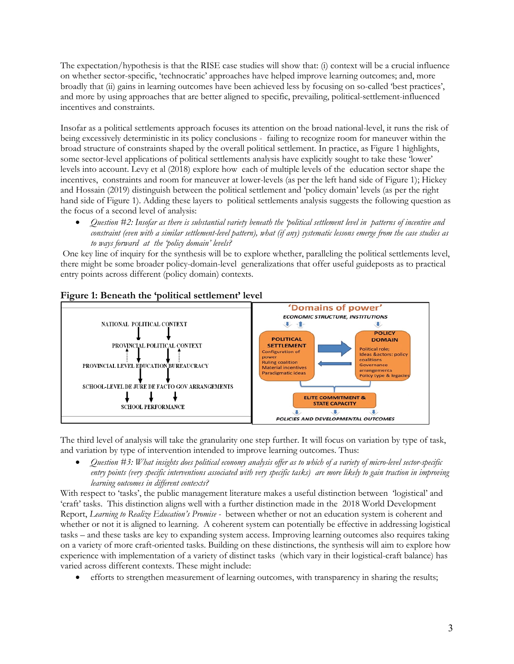The expectation/hypothesis is that the RISE case studies will show that: (i) context will be a crucial influence on whether sector-specific, 'technocratic' approaches have helped improve learning outcomes; and, more broadly that (ii) gains in learning outcomes have been achieved less by focusing on so-called 'best practices', and more by using approaches that are better aligned to specific, prevailing, political-settlement-influenced incentives and constraints.

Insofar as a political settlements approach focuses its attention on the broad national-level, it runs the risk of being excessively deterministic in its policy conclusions - failing to recognize room for maneuver within the broad structure of constraints shaped by the overall political settlement. In practice, as Figure 1 highlights, some sector-level applications of political settlements analysis have explicitly sought to take these 'lower' levels into account. Levy et al (2018) explore how each of multiple levels of the education sector shape the incentives, constraints and room for maneuver at lower-levels (as per the left hand side of Figure 1); Hickey and Hossain (2019) distinguish between the political settlement and 'policy domain' levels (as per the right hand side of Figure 1). Adding these layers to political settlements analysis suggests the following question as the focus of a second level of analysis:

• *Question #2: Insofar as there is substantial variety beneath the 'political settlement level in patterns of incentive and constraint (even with a similar settlement-level pattern), what (if any) systematic lessons emerge from the case studies as to ways forward at the 'policy domain' levels?* 

One key line of inquiry for the synthesis will be to explore whether, paralleling the political settlements level, there might be some broader policy-domain-level generalizations that offer useful guideposts as to practical entry points across different (policy domain) contexts.



# **Figure 1: Beneath the 'political settlement' level**

The third level of analysis will take the granularity one step further. It will focus on variation by type of task, and variation by type of intervention intended to improve learning outcomes. Thus:

• *Question #3: What insights does political economy analysis offer as to which of a variety of micro-level sector-specific entry points (very specific interventions associated with very specific tasks) are more likely to gain traction in improving learning outcomes in different contexts?*

With respect to 'tasks', the public management literature makes a useful distinction between 'logistical' and 'craft' tasks. This distinction aligns well with a further distinction made in the 2018 World Development Report, *Learning to Realize Education's Promise -* between whether or not an education system is coherent and whether or not it is aligned to learning. A coherent system can potentially be effective in addressing logistical tasks – and these tasks are key to expanding system access. Improving learning outcomes also requires taking on a variety of more craft-oriented tasks. Building on these distinctions, the synthesis will aim to explore how experience with implementation of a variety of distinct tasks (which vary in their logistical-craft balance) has varied across different contexts. These might include:

• efforts to strengthen measurement of learning outcomes, with transparency in sharing the results;